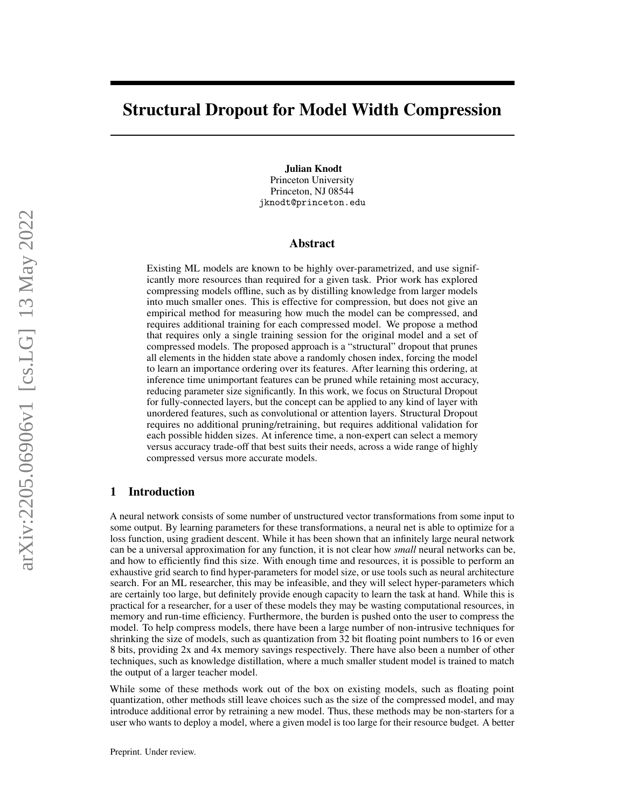# Structural Dropout for Model Width Compression

Julian Knodt Princeton University Princeton, NJ 08544 jknodt@princeton.edu

## Abstract

Existing ML models are known to be highly over-parametrized, and use significantly more resources than required for a given task. Prior work has explored compressing models offline, such as by distilling knowledge from larger models into much smaller ones. This is effective for compression, but does not give an empirical method for measuring how much the model can be compressed, and requires additional training for each compressed model. We propose a method that requires only a single training session for the original model and a set of compressed models. The proposed approach is a "structural" dropout that prunes all elements in the hidden state above a randomly chosen index, forcing the model to learn an importance ordering over its features. After learning this ordering, at inference time unimportant features can be pruned while retaining most accuracy, reducing parameter size significantly. In this work, we focus on Structural Dropout for fully-connected layers, but the concept can be applied to any kind of layer with unordered features, such as convolutional or attention layers. Structural Dropout requires no additional pruning/retraining, but requires additional validation for each possible hidden sizes. At inference time, a non-expert can select a memory versus accuracy trade-off that best suits their needs, across a wide range of highly compressed versus more accurate models.

## 1 Introduction

A neural network consists of some number of unstructured vector transformations from some input to some output. By learning parameters for these transformations, a neural net is able to optimize for a loss function, using gradient descent. While it has been shown that an infinitely large neural network can be a universal approximation for any function, it is not clear how *small* neural networks can be, and how to efficiently find this size. With enough time and resources, it is possible to perform an exhaustive grid search to find hyper-parameters for model size, or use tools such as neural architecture search. For an ML researcher, this may be infeasible, and they will select hyper-parameters which are certainly too large, but definitely provide enough capacity to learn the task at hand. While this is practical for a researcher, for a user of these models they may be wasting computational resources, in memory and run-time efficiency. Furthermore, the burden is pushed onto the user to compress the model. To help compress models, there have been a large number of non-intrusive techniques for shrinking the size of models, such as quantization from 32 bit floating point numbers to 16 or even 8 bits, providing 2x and 4x memory savings respectively. There have also been a number of other techniques, such as knowledge distillation, where a much smaller student model is trained to match the output of a larger teacher model.

While some of these methods work out of the box on existing models, such as floating point quantization, other methods still leave choices such as the size of the compressed model, and may introduce additional error by retraining a new model. Thus, these methods may be non-starters for a user who wants to deploy a model, where a given model is too large for their resource budget. A better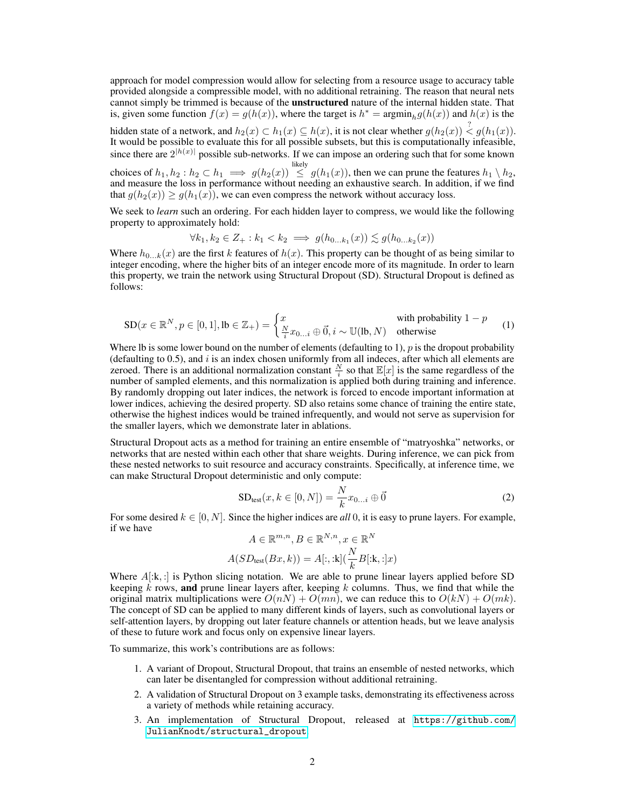approach for model compression would allow for selecting from a resource usage to accuracy table provided alongside a compressible model, with no additional retraining. The reason that neural nets cannot simply be trimmed is because of the **unstructured** nature of the internal hidden state. That is, given some function  $f(x) = g(h(x))$ , where the target is  $h^* = \operatorname{argmin}_h g(h(x))$  and  $h(x)$  is the hidden state of a network, and  $h_2(x) \subset h_1(x) \subseteq h(x)$ , it is not clear whether  $g(h_2(x)) \stackrel{?}{\leq} g(h_1(x))$ . It would be possible to evaluate this for all possible subsets, but this is computationally infeasible,

since there are  $2^{|h(x)|}$  possible sub-networks. If we can impose an ordering such that for some known likely

choices of  $h_1, h_2 : h_2 \subset h_1 \implies g(h_2(x)) \leq g(h_1(x))$ , then we can prune the features  $h_1 \setminus h_2$ , and measure the loss in performance without needing an exhaustive search. In addition, if we find that  $q(h_2(x)) > q(h_1(x))$ , we can even compress the network without accuracy loss.

We seek to *learn* such an ordering. For each hidden layer to compress, we would like the following property to approximately hold:

$$
\forall k_1, k_2 \in Z_+ : k_1 < k_2 \implies g(h_{0...k_1}(x)) \lesssim g(h_{0...k_2}(x))
$$

Where  $h_{0...k}(x)$  are the first k features of  $h(x)$ . This property can be thought of as being similar to integer encoding, where the higher bits of an integer encode more of its magnitude. In order to learn this property, we train the network using Structural Dropout (SD). Structural Dropout is defined as follows:

<span id="page-1-0"></span>
$$
SD(x \in \mathbb{R}^{N}, p \in [0, 1], \text{lb} \in \mathbb{Z}_{+}) = \begin{cases} x & \text{with probability } 1 - p \\ \frac{N}{i} x_{0...i} \oplus \vec{0}, i \sim \mathbb{U}(\text{lb}, N) & \text{otherwise} \end{cases}
$$
(1)

Where Ib is some lower bound on the number of elements (defaulting to 1),  $p$  is the dropout probability (defaulting to  $0.5$ ), and  $i$  is an index chosen uniformly from all indeces, after which all elements are zeroed. There is an additional normalization constant  $\frac{N}{i}$  so that  $\mathbb{E}[x]$  is the same regardless of the number of sampled elements, and this normalization is applied both during training and inference. By randomly dropping out later indices, the network is forced to encode important information at lower indices, achieving the desired property. SD also retains some chance of training the entire state, otherwise the highest indices would be trained infrequently, and would not serve as supervision for the smaller layers, which we demonstrate later in ablations.

Structural Dropout acts as a method for training an entire ensemble of "matryoshka" networks, or networks that are nested within each other that share weights. During inference, we can pick from these nested networks to suit resource and accuracy constraints. Specifically, at inference time, we can make Structural Dropout deterministic and only compute:

<span id="page-1-1"></span>
$$
SD_{test}(x, k \in [0, N]) = \frac{N}{k} x_{0...i} \oplus \vec{0}
$$
\n
$$
(2)
$$

For some desired  $k \in [0, N]$ . Since the higher indices are *all* 0, it is easy to prune layers. For example, if we have

$$
A \in \mathbb{R}^{m,n}, B \in \mathbb{R}^{N,n}, x \in \mathbb{R}^N
$$

$$
A(SD_{\text{test}}(Bx, k)) = A[:, :k](\frac{N}{k}B[:, :]x)
$$

Where  $A[x, z]$  is Python slicing notation. We are able to prune linear layers applied before SD keeping  $\vec{k}$  rows, and prune linear layers after, keeping  $k$  columns. Thus, we find that while the original matrix multiplications were  $O(nN) + O(mn)$ , we can reduce this to  $O(kN) + O(mk)$ . The concept of SD can be applied to many different kinds of layers, such as convolutional layers or self-attention layers, by dropping out later feature channels or attention heads, but we leave analysis of these to future work and focus only on expensive linear layers.

To summarize, this work's contributions are as follows:

- 1. A variant of Dropout, Structural Dropout, that trains an ensemble of nested networks, which can later be disentangled for compression without additional retraining.
- 2. A validation of Structural Dropout on 3 example tasks, demonstrating its effectiveness across a variety of methods while retaining accuracy.
- 3. An implementation of Structural Dropout, released at [https://github.com/](https://github.com/JulianKnodt/structural_dropout) [JulianKnodt/structural\\_dropout](https://github.com/JulianKnodt/structural_dropout).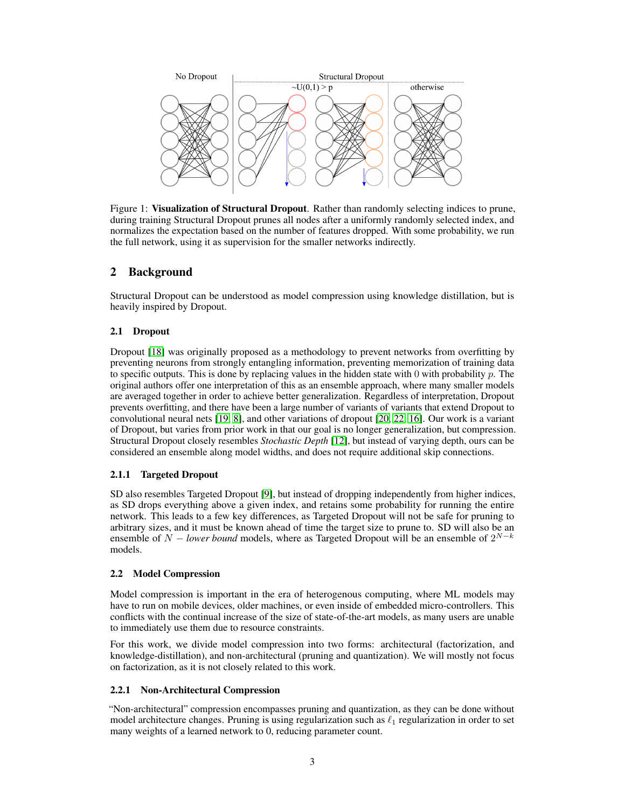

<span id="page-2-0"></span>Figure 1: Visualization of Structural Dropout. Rather than randomly selecting indices to prune, during training Structural Dropout prunes all nodes after a uniformly randomly selected index, and normalizes the expectation based on the number of features dropped. With some probability, we run the full network, using it as supervision for the smaller networks indirectly.

## 2 Background

Structural Dropout can be understood as model compression using knowledge distillation, but is heavily inspired by Dropout.

## 2.1 Dropout

Dropout [\[18\]](#page-10-0) was originally proposed as a methodology to prevent networks from overfitting by preventing neurons from strongly entangling information, preventing memorization of training data to specific outputs. This is done by replacing values in the hidden state with 0 with probability  $p$ . The original authors offer one interpretation of this as an ensemble approach, where many smaller models are averaged together in order to achieve better generalization. Regardless of interpretation, Dropout prevents overfitting, and there have been a large number of variants of variants that extend Dropout to convolutional neural nets [\[19,](#page-10-1) [8\]](#page-9-0), and other variations of dropout [\[20,](#page-10-2) [22,](#page-10-3) [16\]](#page-9-1). Our work is a variant of Dropout, but varies from prior work in that our goal is no longer generalization, but compression. Structural Dropout closely resembles *Stochastic Depth* [\[12\]](#page-9-2), but instead of varying depth, ours can be considered an ensemble along model widths, and does not require additional skip connections.

## 2.1.1 Targeted Dropout

SD also resembles Targeted Dropout [\[9\]](#page-9-3), but instead of dropping independently from higher indices, as SD drops everything above a given index, and retains some probability for running the entire network. This leads to a few key differences, as Targeted Dropout will not be safe for pruning to arbitrary sizes, and it must be known ahead of time the target size to prune to. SD will also be an ensemble of  $N - lower$  *bound* models, where as Targeted Dropout will be an ensemble of  $2^{N-k}$ models.

## 2.2 Model Compression

Model compression is important in the era of heterogenous computing, where ML models may have to run on mobile devices, older machines, or even inside of embedded micro-controllers. This conflicts with the continual increase of the size of state-of-the-art models, as many users are unable to immediately use them due to resource constraints.

For this work, we divide model compression into two forms: architectural (factorization, and knowledge-distillation), and non-architectural (pruning and quantization). We will mostly not focus on factorization, as it is not closely related to this work.

## 2.2.1 Non-Architectural Compression

"Non-architectural" compression encompasses pruning and quantization, as they can be done without model architecture changes. Pruning is using regularization such as  $\ell_1$  regularization in order to set many weights of a learned network to 0, reducing parameter count.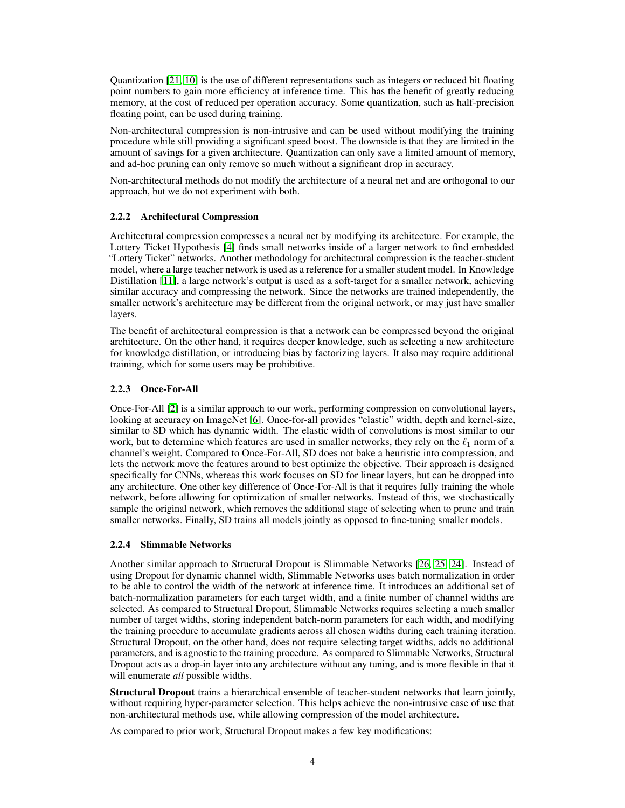Quantization [\[21,](#page-10-4) [10\]](#page-9-4) is the use of different representations such as integers or reduced bit floating point numbers to gain more efficiency at inference time. This has the benefit of greatly reducing memory, at the cost of reduced per operation accuracy. Some quantization, such as half-precision floating point, can be used during training.

Non-architectural compression is non-intrusive and can be used without modifying the training procedure while still providing a significant speed boost. The downside is that they are limited in the amount of savings for a given architecture. Quantization can only save a limited amount of memory, and ad-hoc pruning can only remove so much without a significant drop in accuracy.

Non-architectural methods do not modify the architecture of a neural net and are orthogonal to our approach, but we do not experiment with both.

## 2.2.2 Architectural Compression

Architectural compression compresses a neural net by modifying its architecture. For example, the Lottery Ticket Hypothesis [\[4\]](#page-9-5) finds small networks inside of a larger network to find embedded "Lottery Ticket" networks. Another methodology for architectural compression is the teacher-student model, where a large teacher network is used as a reference for a smaller student model. In Knowledge Distillation [\[11\]](#page-9-6), a large network's output is used as a soft-target for a smaller network, achieving similar accuracy and compressing the network. Since the networks are trained independently, the smaller network's architecture may be different from the original network, or may just have smaller layers.

The benefit of architectural compression is that a network can be compressed beyond the original architecture. On the other hand, it requires deeper knowledge, such as selecting a new architecture for knowledge distillation, or introducing bias by factorizing layers. It also may require additional training, which for some users may be prohibitive.

## 2.2.3 Once-For-All

Once-For-All [\[2\]](#page-9-7) is a similar approach to our work, performing compression on convolutional layers, looking at accuracy on ImageNet [\[6\]](#page-9-8). Once-for-all provides "elastic" width, depth and kernel-size, similar to SD which has dynamic width. The elastic width of convolutions is most similar to our work, but to determine which features are used in smaller networks, they rely on the  $\ell_1$  norm of a channel's weight. Compared to Once-For-All, SD does not bake a heuristic into compression, and lets the network move the features around to best optimize the objective. Their approach is designed specifically for CNNs, whereas this work focuses on SD for linear layers, but can be dropped into any architecture. One other key difference of Once-For-All is that it requires fully training the whole network, before allowing for optimization of smaller networks. Instead of this, we stochastically sample the original network, which removes the additional stage of selecting when to prune and train smaller networks. Finally, SD trains all models jointly as opposed to fine-tuning smaller models.

## 2.2.4 Slimmable Networks

Another similar approach to Structural Dropout is Slimmable Networks [\[26,](#page-10-5) [25,](#page-10-6) [24\]](#page-10-7). Instead of using Dropout for dynamic channel width, Slimmable Networks uses batch normalization in order to be able to control the width of the network at inference time. It introduces an additional set of batch-normalization parameters for each target width, and a finite number of channel widths are selected. As compared to Structural Dropout, Slimmable Networks requires selecting a much smaller number of target widths, storing independent batch-norm parameters for each width, and modifying the training procedure to accumulate gradients across all chosen widths during each training iteration. Structural Dropout, on the other hand, does not require selecting target widths, adds no additional parameters, and is agnostic to the training procedure. As compared to Slimmable Networks, Structural Dropout acts as a drop-in layer into any architecture without any tuning, and is more flexible in that it will enumerate *all* possible widths.

Structural Dropout trains a hierarchical ensemble of teacher-student networks that learn jointly, without requiring hyper-parameter selection. This helps achieve the non-intrusive ease of use that non-architectural methods use, while allowing compression of the model architecture.

As compared to prior work, Structural Dropout makes a few key modifications: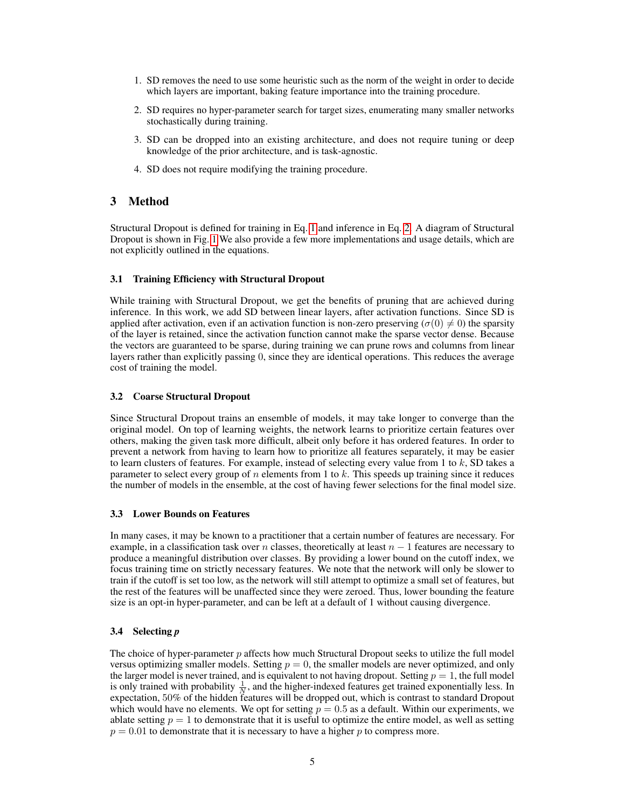- 1. SD removes the need to use some heuristic such as the norm of the weight in order to decide which layers are important, baking feature importance into the training procedure.
- 2. SD requires no hyper-parameter search for target sizes, enumerating many smaller networks stochastically during training.
- 3. SD can be dropped into an existing architecture, and does not require tuning or deep knowledge of the prior architecture, and is task-agnostic.
- 4. SD does not require modifying the training procedure.

## 3 Method

Structural Dropout is defined for training in Eq. [1](#page-1-0) and inference in Eq. [2.](#page-1-1) A diagram of Structural Dropout is shown in Fig. [1](#page-2-0) We also provide a few more implementations and usage details, which are not explicitly outlined in the equations.

#### 3.1 Training Efficiency with Structural Dropout

While training with Structural Dropout, we get the benefits of pruning that are achieved during inference. In this work, we add SD between linear layers, after activation functions. Since SD is applied after activation, even if an activation function is non-zero preserving ( $\sigma(0) \neq 0$ ) the sparsity of the layer is retained, since the activation function cannot make the sparse vector dense. Because the vectors are guaranteed to be sparse, during training we can prune rows and columns from linear layers rather than explicitly passing 0, since they are identical operations. This reduces the average cost of training the model.

#### 3.2 Coarse Structural Dropout

Since Structural Dropout trains an ensemble of models, it may take longer to converge than the original model. On top of learning weights, the network learns to prioritize certain features over others, making the given task more difficult, albeit only before it has ordered features. In order to prevent a network from having to learn how to prioritize all features separately, it may be easier to learn clusters of features. For example, instead of selecting every value from 1 to  $k$ , SD takes a parameter to select every group of n elements from 1 to k. This speeds up training since it reduces the number of models in the ensemble, at the cost of having fewer selections for the final model size.

#### 3.3 Lower Bounds on Features

In many cases, it may be known to a practitioner that a certain number of features are necessary. For example, in a classification task over n classes, theoretically at least  $n - 1$  features are necessary to produce a meaningful distribution over classes. By providing a lower bound on the cutoff index, we focus training time on strictly necessary features. We note that the network will only be slower to train if the cutoff is set too low, as the network will still attempt to optimize a small set of features, but the rest of the features will be unaffected since they were zeroed. Thus, lower bounding the feature size is an opt-in hyper-parameter, and can be left at a default of 1 without causing divergence.

#### 3.4 Selecting *p*

The choice of hyper-parameter  $p$  affects how much Structural Dropout seeks to utilize the full model versus optimizing smaller models. Setting  $p = 0$ , the smaller models are never optimized, and only the larger model is never trained, and is equivalent to not having dropout. Setting  $p = 1$ , the full model is only trained with probability  $\frac{1}{N}$ , and the higher-indexed features get trained exponentially less. In expectation, 50% of the hidden features will be dropped out, which is contrast to standard Dropout which would have no elements. We opt for setting  $p = 0.5$  as a default. Within our experiments, we ablate setting  $p = 1$  to demonstrate that it is useful to optimize the entire model, as well as setting  $p = 0.01$  to demonstrate that it is necessary to have a higher p to compress more.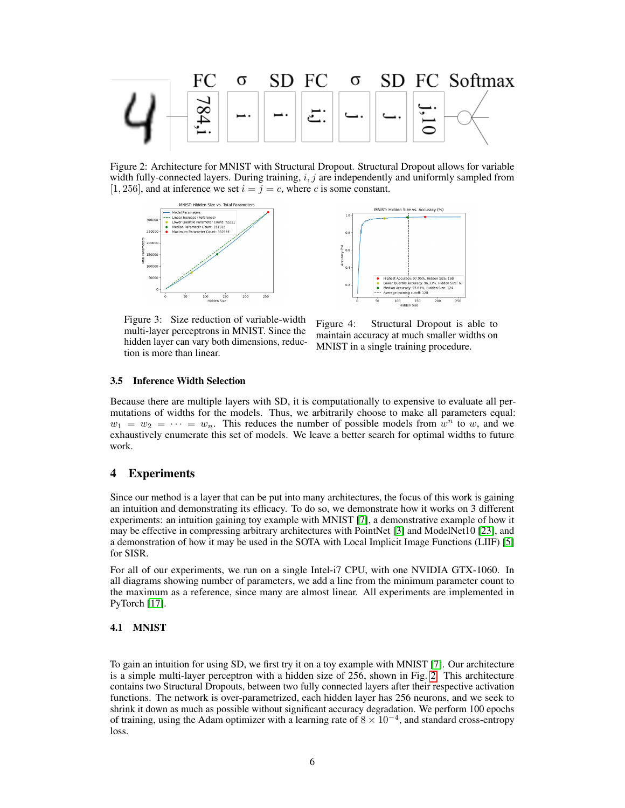

<span id="page-5-0"></span>Figure 2: Architecture for MNIST with Structural Dropout. Structural Dropout allows for variable width fully-connected layers. During training,  $i, j$  are independently and uniformly sampled from [1, 256], and at inference we set  $i = j = c$ , where c is some constant.





Figure 3: Size reduction of variable-width multi-layer perceptrons in MNIST. Since the hidden layer can vary both dimensions, reduction is more than linear.

<span id="page-5-1"></span>Figure 4: Structural Dropout is able to maintain accuracy at much smaller widths on MNIST in a single training procedure.

#### 3.5 Inference Width Selection

Because there are multiple layers with SD, it is computationally to expensive to evaluate all permutations of widths for the models. Thus, we arbitrarily choose to make all parameters equal:  $w_1 = w_2 = \cdots = w_n$ . This reduces the number of possible models from  $w^n$  to w, and we exhaustively enumerate this set of models. We leave a better search for optimal widths to future work.

## 4 Experiments

Since our method is a layer that can be put into many architectures, the focus of this work is gaining an intuition and demonstrating its efficacy. To do so, we demonstrate how it works on 3 different experiments: an intuition gaining toy example with MNIST [\[7\]](#page-9-9), a demonstrative example of how it may be effective in compressing arbitrary architectures with PointNet [\[3\]](#page-9-10) and ModelNet10 [\[23\]](#page-10-8), and a demonstration of how it may be used in the SOTA with Local Implicit Image Functions (LIIF) [\[5\]](#page-9-11) for SISR.

For all of our experiments, we run on a single Intel-i7 CPU, with one NVIDIA GTX-1060. In all diagrams showing number of parameters, we add a line from the minimum parameter count to the maximum as a reference, since many are almost linear. All experiments are implemented in PyTorch [\[17\]](#page-9-12).

#### 4.1 MNIST

To gain an intuition for using SD, we first try it on a toy example with MNIST [\[7\]](#page-9-9). Our architecture is a simple multi-layer perceptron with a hidden size of 256, shown in Fig. [2.](#page-5-0) This architecture contains two Structural Dropouts, between two fully connected layers after their respective activation functions. The network is over-parametrized, each hidden layer has 256 neurons, and we seek to shrink it down as much as possible without significant accuracy degradation. We perform 100 epochs of training, using the Adam optimizer with a learning rate of  $8 \times 10^{-4}$ , and standard cross-entropy loss.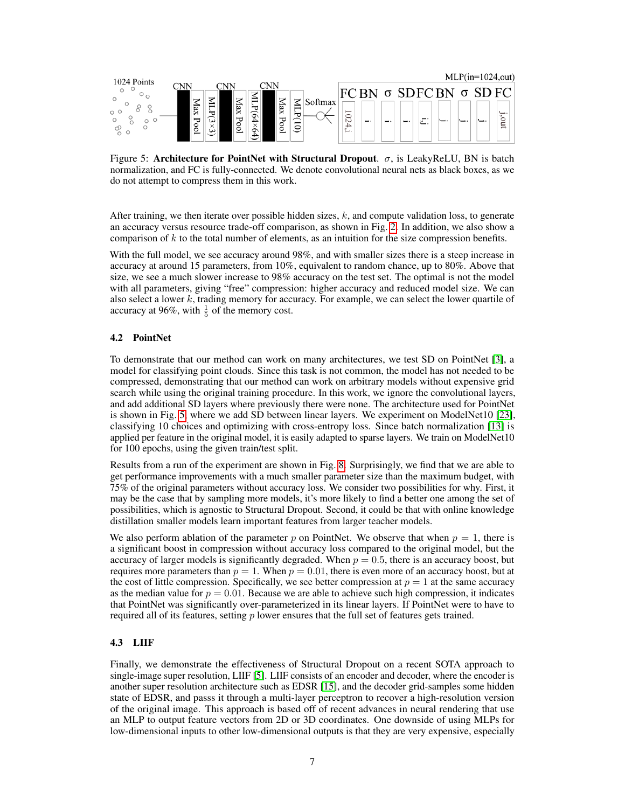

<span id="page-6-0"></span>Figure 5: Architecture for PointNet with Structural Dropout.  $\sigma$ , is LeakyReLU, BN is batch normalization, and FC is fully-connected. We denote convolutional neural nets as black boxes, as we do not attempt to compress them in this work.

After training, we then iterate over possible hidden sizes,  $k$ , and compute validation loss, to generate an accuracy versus resource trade-off comparison, as shown in Fig. [2.](#page-5-1) In addition, we also show a comparison of  $k$  to the total number of elements, as an intuition for the size compression benefits.

With the full model, we see accuracy around 98%, and with smaller sizes there is a steep increase in accuracy at around 15 parameters, from 10%, equivalent to random chance, up to 80%. Above that size, we see a much slower increase to 98% accuracy on the test set. The optimal is not the model with all parameters, giving "free" compression: higher accuracy and reduced model size. We can also select a lower  $k$ , trading memory for accuracy. For example, we can select the lower quartile of accuracy at 96%, with  $\frac{1}{5}$  of the memory cost.

#### 4.2 PointNet

To demonstrate that our method can work on many architectures, we test SD on PointNet [\[3\]](#page-9-10), a model for classifying point clouds. Since this task is not common, the model has not needed to be compressed, demonstrating that our method can work on arbitrary models without expensive grid search while using the original training procedure. In this work, we ignore the convolutional layers, and add additional SD layers where previously there were none. The architecture used for PointNet is shown in Fig. [5,](#page-6-0) where we add SD between linear layers. We experiment on ModelNet10 [\[23\]](#page-10-8), classifying 10 choices and optimizing with cross-entropy loss. Since batch normalization [\[13\]](#page-9-13) is applied per feature in the original model, it is easily adapted to sparse layers. We train on ModelNet10 for 100 epochs, using the given train/test split.

Results from a run of the experiment are shown in Fig. [8.](#page-7-0) Surprisingly, we find that we are able to get performance improvements with a much smaller parameter size than the maximum budget, with 75% of the original parameters without accuracy loss. We consider two possibilities for why. First, it may be the case that by sampling more models, it's more likely to find a better one among the set of possibilities, which is agnostic to Structural Dropout. Second, it could be that with online knowledge distillation smaller models learn important features from larger teacher models.

We also perform ablation of the parameter p on PointNet. We observe that when  $p = 1$ , there is a significant boost in compression without accuracy loss compared to the original model, but the accuracy of larger models is significantly degraded. When  $p = 0.5$ , there is an accuracy boost, but requires more parameters than  $p = 1$ . When  $p = 0.01$ , there is even more of an accuracy boost, but at the cost of little compression. Specifically, we see better compression at  $p = 1$  at the same accuracy as the median value for  $p = 0.01$ . Because we are able to achieve such high compression, it indicates that PointNet was significantly over-parameterized in its linear layers. If PointNet were to have to required all of its features, setting  $p$  lower ensures that the full set of features gets trained.

#### 4.3 LIIF

Finally, we demonstrate the effectiveness of Structural Dropout on a recent SOTA approach to single-image super resolution, LIIF [\[5\]](#page-9-11). LIIF consists of an encoder and decoder, where the encoder is another super resolution architecture such as EDSR [\[15\]](#page-9-14), and the decoder grid-samples some hidden state of EDSR, and passs it through a multi-layer perceptron to recover a high-resolution version of the original image. This approach is based off of recent advances in neural rendering that use an MLP to output feature vectors from 2D or 3D coordinates. One downside of using MLPs for low-dimensional inputs to other low-dimensional outputs is that they are very expensive, especially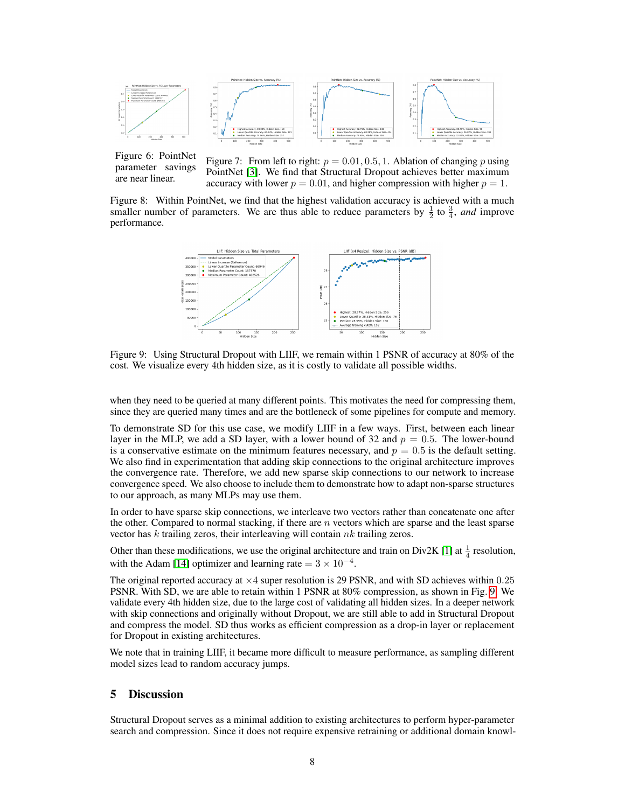

Figure 6: PointNet parameter savings are near linear.

Figure 7: From left to right:  $p = 0.01, 0.5, 1$ . Ablation of changing p using PointNet [\[3\]](#page-9-10). We find that Structural Dropout achieves better maximum accuracy with lower  $p = 0.01$ , and higher compression with higher  $p = 1$ .

<span id="page-7-0"></span>Figure 8: Within PointNet, we find that the highest validation accuracy is achieved with a much smaller number of parameters. We are thus able to reduce parameters by  $\frac{1}{2}$  to  $\frac{3}{4}$ , *and* improve performance.



<span id="page-7-1"></span>Figure 9: Using Structural Dropout with LIIF, we remain within 1 PSNR of accuracy at 80% of the cost. We visualize every 4th hidden size, as it is costly to validate all possible widths.

when they need to be queried at many different points. This motivates the need for compressing them, since they are queried many times and are the bottleneck of some pipelines for compute and memory.

To demonstrate SD for this use case, we modify LIIF in a few ways. First, between each linear layer in the MLP, we add a SD layer, with a lower bound of 32 and  $p = 0.5$ . The lower-bound is a conservative estimate on the minimum features necessary, and  $p = 0.5$  is the default setting. We also find in experimentation that adding skip connections to the original architecture improves the convergence rate. Therefore, we add new sparse skip connections to our network to increase convergence speed. We also choose to include them to demonstrate how to adapt non-sparse structures to our approach, as many MLPs may use them.

In order to have sparse skip connections, we interleave two vectors rather than concatenate one after the other. Compared to normal stacking, if there are  $n$  vectors which are sparse and the least sparse vector has  $k$  trailing zeros, their interleaving will contain  $nk$  trailing zeros.

Other than these modifications, we use the original architecture and train on  $Div2K [1]$  $Div2K [1]$  at  $\frac{1}{4}$  resolution, with the Adam [\[14\]](#page-9-16) optimizer and learning rate =  $3 \times 10^{-4}$ .

The original reported accuracy at  $\times 4$  super resolution is 29 PSNR, and with SD achieves within 0.25 PSNR. With SD, we are able to retain within 1 PSNR at 80% compression, as shown in Fig. [9.](#page-7-1) We validate every 4th hidden size, due to the large cost of validating all hidden sizes. In a deeper network with skip connections and originally without Dropout, we are still able to add in Structural Dropout and compress the model. SD thus works as efficient compression as a drop-in layer or replacement for Dropout in existing architectures.

We note that in training LIIF, it became more difficult to measure performance, as sampling different model sizes lead to random accuracy jumps.

## 5 Discussion

Structural Dropout serves as a minimal addition to existing architectures to perform hyper-parameter search and compression. Since it does not require expensive retraining or additional domain knowl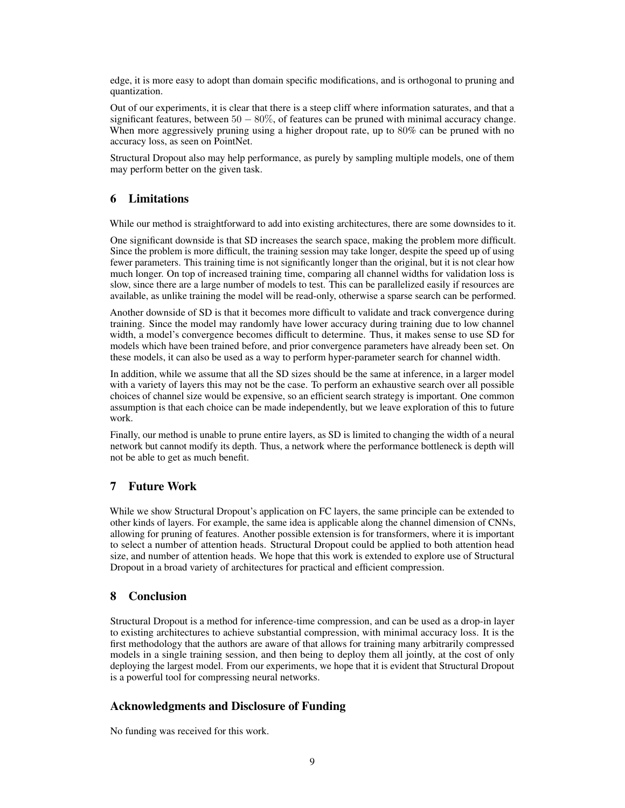edge, it is more easy to adopt than domain specific modifications, and is orthogonal to pruning and quantization.

Out of our experiments, it is clear that there is a steep cliff where information saturates, and that a significant features, between  $50 - 80\%$ , of features can be pruned with minimal accuracy change. When more aggressively pruning using a higher dropout rate, up to 80% can be pruned with no accuracy loss, as seen on PointNet.

Structural Dropout also may help performance, as purely by sampling multiple models, one of them may perform better on the given task.

## 6 Limitations

While our method is straightforward to add into existing architectures, there are some downsides to it.

One significant downside is that SD increases the search space, making the problem more difficult. Since the problem is more difficult, the training session may take longer, despite the speed up of using fewer parameters. This training time is not significantly longer than the original, but it is not clear how much longer. On top of increased training time, comparing all channel widths for validation loss is slow, since there are a large number of models to test. This can be parallelized easily if resources are available, as unlike training the model will be read-only, otherwise a sparse search can be performed.

Another downside of SD is that it becomes more difficult to validate and track convergence during training. Since the model may randomly have lower accuracy during training due to low channel width, a model's convergence becomes difficult to determine. Thus, it makes sense to use SD for models which have been trained before, and prior convergence parameters have already been set. On these models, it can also be used as a way to perform hyper-parameter search for channel width.

In addition, while we assume that all the SD sizes should be the same at inference, in a larger model with a variety of layers this may not be the case. To perform an exhaustive search over all possible choices of channel size would be expensive, so an efficient search strategy is important. One common assumption is that each choice can be made independently, but we leave exploration of this to future work.

Finally, our method is unable to prune entire layers, as SD is limited to changing the width of a neural network but cannot modify its depth. Thus, a network where the performance bottleneck is depth will not be able to get as much benefit.

## 7 Future Work

While we show Structural Dropout's application on FC layers, the same principle can be extended to other kinds of layers. For example, the same idea is applicable along the channel dimension of CNNs, allowing for pruning of features. Another possible extension is for transformers, where it is important to select a number of attention heads. Structural Dropout could be applied to both attention head size, and number of attention heads. We hope that this work is extended to explore use of Structural Dropout in a broad variety of architectures for practical and efficient compression.

## 8 Conclusion

Structural Dropout is a method for inference-time compression, and can be used as a drop-in layer to existing architectures to achieve substantial compression, with minimal accuracy loss. It is the first methodology that the authors are aware of that allows for training many arbitrarily compressed models in a single training session, and then being to deploy them all jointly, at the cost of only deploying the largest model. From our experiments, we hope that it is evident that Structural Dropout is a powerful tool for compressing neural networks.

## Acknowledgments and Disclosure of Funding

No funding was received for this work.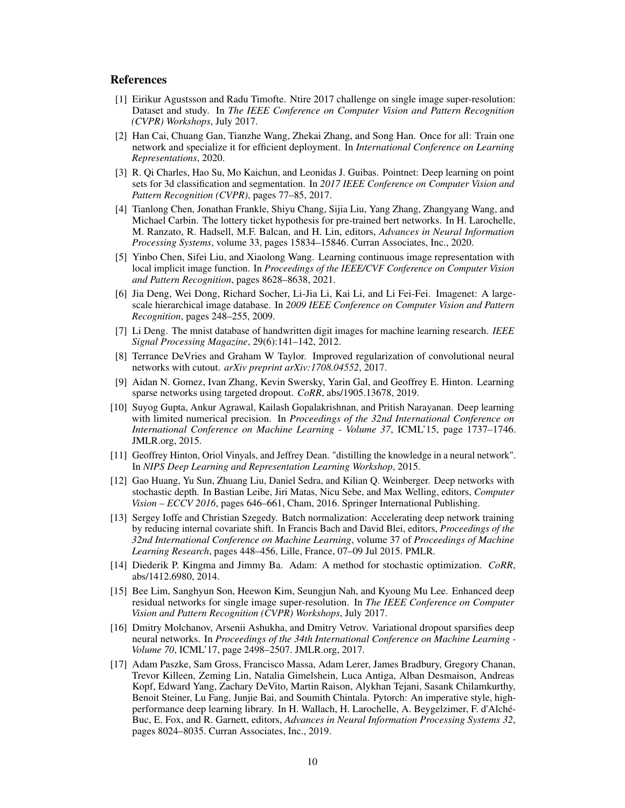## References

- <span id="page-9-15"></span>[1] Eirikur Agustsson and Radu Timofte. Ntire 2017 challenge on single image super-resolution: Dataset and study. In *The IEEE Conference on Computer Vision and Pattern Recognition (CVPR) Workshops*, July 2017.
- <span id="page-9-7"></span>[2] Han Cai, Chuang Gan, Tianzhe Wang, Zhekai Zhang, and Song Han. Once for all: Train one network and specialize it for efficient deployment. In *International Conference on Learning Representations*, 2020.
- <span id="page-9-10"></span>[3] R. Qi Charles, Hao Su, Mo Kaichun, and Leonidas J. Guibas. Pointnet: Deep learning on point sets for 3d classification and segmentation. In *2017 IEEE Conference on Computer Vision and Pattern Recognition (CVPR)*, pages 77–85, 2017.
- <span id="page-9-5"></span>[4] Tianlong Chen, Jonathan Frankle, Shiyu Chang, Sijia Liu, Yang Zhang, Zhangyang Wang, and Michael Carbin. The lottery ticket hypothesis for pre-trained bert networks. In H. Larochelle, M. Ranzato, R. Hadsell, M.F. Balcan, and H. Lin, editors, *Advances in Neural Information Processing Systems*, volume 33, pages 15834–15846. Curran Associates, Inc., 2020.
- <span id="page-9-11"></span>[5] Yinbo Chen, Sifei Liu, and Xiaolong Wang. Learning continuous image representation with local implicit image function. In *Proceedings of the IEEE/CVF Conference on Computer Vision and Pattern Recognition*, pages 8628–8638, 2021.
- <span id="page-9-8"></span>[6] Jia Deng, Wei Dong, Richard Socher, Li-Jia Li, Kai Li, and Li Fei-Fei. Imagenet: A largescale hierarchical image database. In *2009 IEEE Conference on Computer Vision and Pattern Recognition*, pages 248–255, 2009.
- <span id="page-9-9"></span>[7] Li Deng. The mnist database of handwritten digit images for machine learning research. *IEEE Signal Processing Magazine*, 29(6):141–142, 2012.
- <span id="page-9-0"></span>[8] Terrance DeVries and Graham W Taylor. Improved regularization of convolutional neural networks with cutout. *arXiv preprint arXiv:1708.04552*, 2017.
- <span id="page-9-3"></span>[9] Aidan N. Gomez, Ivan Zhang, Kevin Swersky, Yarin Gal, and Geoffrey E. Hinton. Learning sparse networks using targeted dropout. *CoRR*, abs/1905.13678, 2019.
- <span id="page-9-4"></span>[10] Suyog Gupta, Ankur Agrawal, Kailash Gopalakrishnan, and Pritish Narayanan. Deep learning with limited numerical precision. In *Proceedings of the 32nd International Conference on International Conference on Machine Learning - Volume 37*, ICML'15, page 1737–1746. JMLR.org, 2015.
- <span id="page-9-6"></span>[11] Geoffrey Hinton, Oriol Vinyals, and Jeffrey Dean. "distilling the knowledge in a neural network". In *NIPS Deep Learning and Representation Learning Workshop*, 2015.
- <span id="page-9-2"></span>[12] Gao Huang, Yu Sun, Zhuang Liu, Daniel Sedra, and Kilian Q. Weinberger. Deep networks with stochastic depth. In Bastian Leibe, Jiri Matas, Nicu Sebe, and Max Welling, editors, *Computer Vision – ECCV 2016*, pages 646–661, Cham, 2016. Springer International Publishing.
- <span id="page-9-13"></span>[13] Sergey Ioffe and Christian Szegedy. Batch normalization: Accelerating deep network training by reducing internal covariate shift. In Francis Bach and David Blei, editors, *Proceedings of the 32nd International Conference on Machine Learning*, volume 37 of *Proceedings of Machine Learning Research*, pages 448–456, Lille, France, 07–09 Jul 2015. PMLR.
- <span id="page-9-16"></span>[14] Diederik P. Kingma and Jimmy Ba. Adam: A method for stochastic optimization. *CoRR*, abs/1412.6980, 2014.
- <span id="page-9-14"></span>[15] Bee Lim, Sanghyun Son, Heewon Kim, Seungjun Nah, and Kyoung Mu Lee. Enhanced deep residual networks for single image super-resolution. In *The IEEE Conference on Computer Vision and Pattern Recognition (CVPR) Workshops*, July 2017.
- <span id="page-9-1"></span>[16] Dmitry Molchanov, Arsenii Ashukha, and Dmitry Vetrov. Variational dropout sparsifies deep neural networks. In *Proceedings of the 34th International Conference on Machine Learning - Volume 70*, ICML'17, page 2498–2507. JMLR.org, 2017.
- <span id="page-9-12"></span>[17] Adam Paszke, Sam Gross, Francisco Massa, Adam Lerer, James Bradbury, Gregory Chanan, Trevor Killeen, Zeming Lin, Natalia Gimelshein, Luca Antiga, Alban Desmaison, Andreas Kopf, Edward Yang, Zachary DeVito, Martin Raison, Alykhan Tejani, Sasank Chilamkurthy, Benoit Steiner, Lu Fang, Junjie Bai, and Soumith Chintala. Pytorch: An imperative style, highperformance deep learning library. In H. Wallach, H. Larochelle, A. Beygelzimer, F. d'Alché-Buc, E. Fox, and R. Garnett, editors, *Advances in Neural Information Processing Systems 32*, pages 8024–8035. Curran Associates, Inc., 2019.